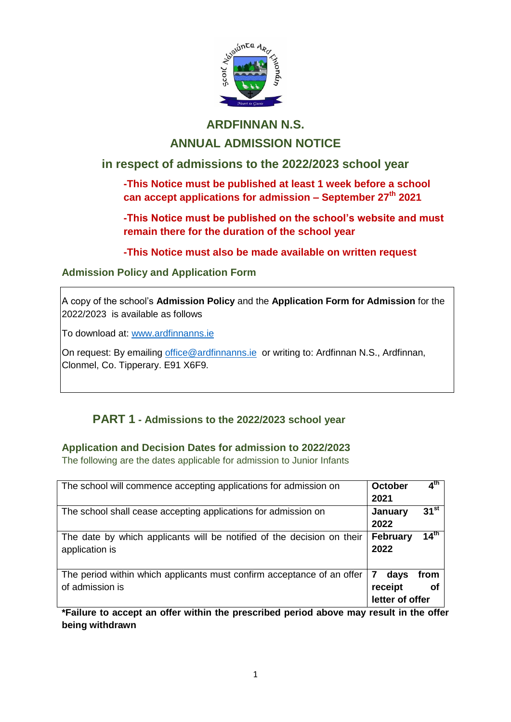

## **ARDFINNAN N.S.**

## **ANNUAL ADMISSION NOTICE**

## **in respect of admissions to the 2022/2023 school year**

**-This Notice must be published at least 1 week before a school can accept applications for admission – September 27 th 2021**

**-This Notice must be published on the school's website and must remain there for the duration of the school year** 

**-This Notice must also be made available on written request**

### **Admission Policy and Application Form**

A copy of the school's **Admission Policy** and the **Application Form for Admission** for the 2022/2023 is available as follows

To download at: www.ardfinnanns.ie

On request: By emailing [office@ardfinnanns.ie](mailto:office@ardfinnanns.ie) or writing to: Ardfinnan N.S., Ardfinnan, Clonmel, Co. Tipperary. E91 X6F9.

## **PART 1 - Admissions to the 2022/2023 school year**

### **Application and Decision Dates for admission to 2022/2023**

The following are the dates applicable for admission to Junior Infants

| The school will commence accepting applications for admission on                          | <b>October</b><br>2021                  | 4 <sup>th</sup>  |
|-------------------------------------------------------------------------------------------|-----------------------------------------|------------------|
| The school shall cease accepting applications for admission on                            | January<br>2022                         | $31^{st}$        |
| The date by which applicants will be notified of the decision on their<br>application is  | <b>February</b><br>2022                 | 14 <sup>th</sup> |
| The period within which applicants must confirm acceptance of an offer<br>of admission is | 7<br>days<br>receipt<br>letter of offer | from<br>Οi       |

**\*Failure to accept an offer within the prescribed period above may result in the offer being withdrawn**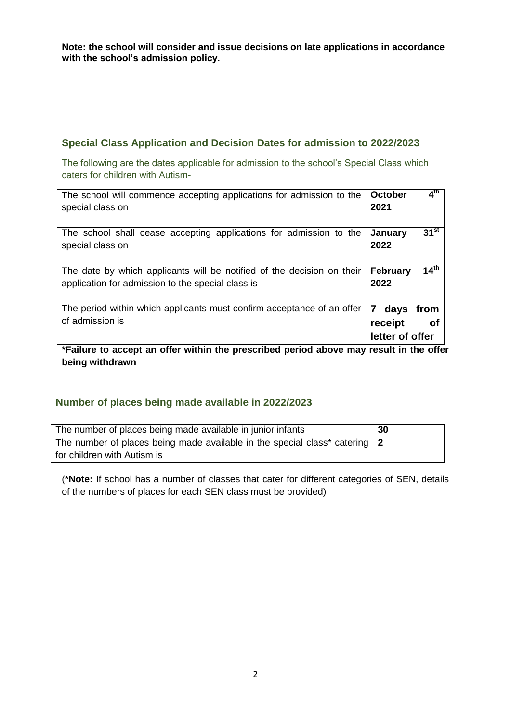**Note: the school will consider and issue decisions on late applications in accordance with the school's admission policy.**

#### **Special Class Application and Decision Dates for admission to 2022/2023**

The following are the dates applicable for admission to the school's Special Class which caters for children with Autism-

| The school will commence accepting applications for admission to the<br>special class on                                    | $4^{\text{th}}$<br><b>October</b><br>2021             |
|-----------------------------------------------------------------------------------------------------------------------------|-------------------------------------------------------|
| The school shall cease accepting applications for admission to the<br>special class on                                      | $31^{st}$<br>January<br>2022                          |
| The date by which applicants will be notified of the decision on their<br>application for admission to the special class is | 14 <sup>th</sup><br><b>February</b><br>2022           |
| The period within which applicants must confirm acceptance of an offer<br>of admission is                                   | 7<br>days<br>from<br>receipt<br>Οf<br>letter of offer |
| <br>.<br><br>.<br><b>Service Contract Contract Contract</b>                                                                 | <br>.                                                 |

**\*Failure to accept an offer within the prescribed period above may result in the offer being withdrawn**

#### **Number of places being made available in 2022/2023**

| The number of places being made available in junior infants                | 30 |
|----------------------------------------------------------------------------|----|
| The number of places being made available in the special class* catering 2 |    |
| for children with Autism is                                                |    |

(**\*Note:** If school has a number of classes that cater for different categories of SEN, details of the numbers of places for each SEN class must be provided)